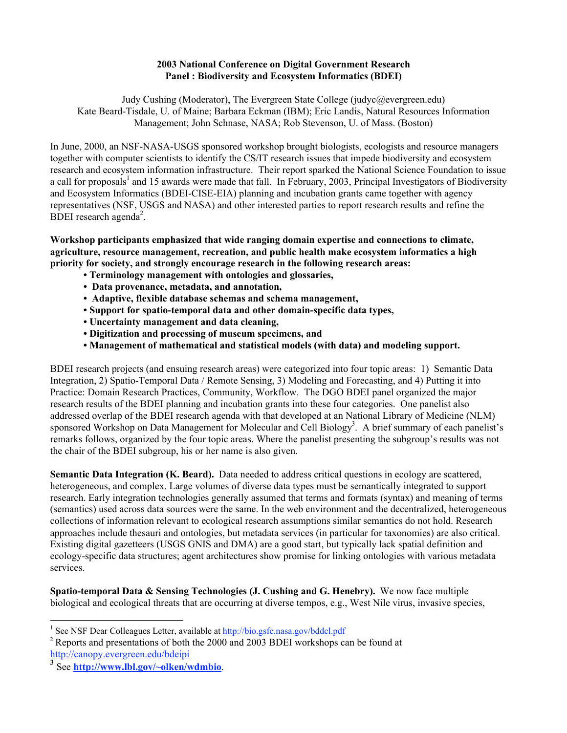## **2003 National Conference on Digital Government Research Panel : Biodiversity and Ecosystem Informatics (BDEI)**

Judy Cushing (Moderator), The Evergreen State College (judyc@evergreen.edu) Kate Beard-Tisdale, U. of Maine; Barbara Eckman (IBM); Eric Landis, Natural Resources Information Management; John Schnase, NASA; Rob Stevenson, U. of Mass. (Boston)

In June, 2000, an NSF-NASA-USGS sponsored workshop brought biologists, ecologists and resource managers together with computer scientists to identify the CS/IT research issues that impede biodiversity and ecosystem research and ecosystem information infrastructure. Their report sparked the National Science Foundation to issue a call for proposals<sup>1</sup> and 15 awards were made that fall. In February, 2003, Principal Investigators of Biodiversity and Ecosystem Informatics (BDEI-CISE-EIA) planning and incubation grants came together with agency representatives (NSF, USGS and NASA) and other interested parties to report research results and refine the  $BDEI$  research agenda<sup>2</sup>.

**Workshop participants emphasized that wide ranging domain expertise and connections to climate, agriculture, resource management, recreation, and public health make ecosystem informatics a high priority for society, and strongly encourage research in the following research areas:**

- **Terminology management with ontologies and glossaries,**
- **Data provenance, metadata, and annotation,**
- **Adaptive, flexible database schemas and schema management,**
- **Support for spatio-temporal data and other domain-specific data types,**
- **Uncertainty management and data cleaning,**
- **Digitization and processing of museum specimens, and**
- **Management of mathematical and statistical models (with data) and modeling support.**

BDEI research projects (and ensuing research areas) were categorized into four topic areas: 1) Semantic Data Integration, 2) Spatio-Temporal Data / Remote Sensing, 3) Modeling and Forecasting, and 4) Putting it into Practice: Domain Research Practices, Community, Workflow. The DGO BDEI panel organized the major research results of the BDEI planning and incubation grants into these four categories. One panelist also addressed overlap of the BDEI research agenda with that developed at an National Library of Medicine (NLM) sponsored Workshop on Data Management for Molecular and Cell Biology<sup>3</sup>. A brief summary of each panelist's remarks follows, organized by the four topic areas. Where the panelist presenting the subgroup's results was not the chair of the BDEI subgroup, his or her name is also given.

**Semantic Data Integration (K. Beard).** Data needed to address critical questions in ecology are scattered, heterogeneous, and complex. Large volumes of diverse data types must be semantically integrated to support research. Early integration technologies generally assumed that terms and formats (syntax) and meaning of terms (semantics) used across data sources were the same. In the web environment and the decentralized, heterogeneous collections of information relevant to ecological research assumptions similar semantics do not hold. Research approaches include thesauri and ontologies, but metadata services (in particular for taxonomies) are also critical. Existing digital gazetteers (USGS GNIS and DMA) are a good start, but typically lack spatial definition and ecology-specific data structures; agent architectures show promise for linking ontologies with various metadata services.

**Spatio-temporal Data & Sensing Technologies (J. Cushing and G. Henebry).** We now face multiple biological and ecological threats that are occurring at diverse tempos, e.g., West Nile virus, invasive species,

 $\frac{1}{1}$ <sup>1</sup> See NSF Dear Colleagues Letter, available at http://bio.gsfc.nasa.gov/bddcl.pdf

<sup>2</sup> Reports and presentations of both the 2000 and 2003 BDEI workshops can be found at http://canopy.evergreen.edu/bdeipi

**<sup>3</sup>** See **http://www.lbl.gov/~olken/wdmbio**.